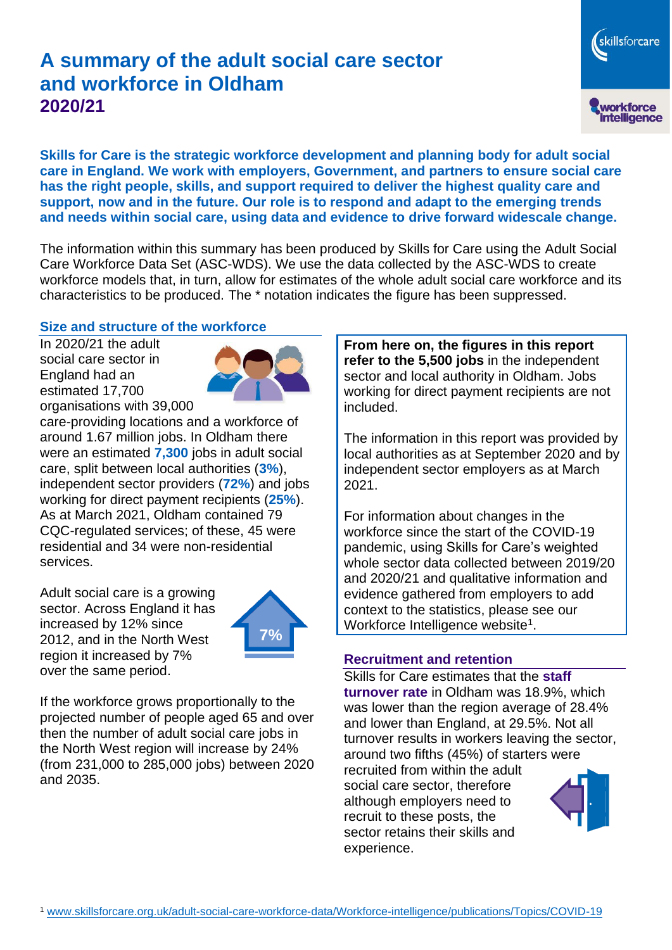# **A summary of the adult social care sector and workforce in Oldham 2020/21**

skillsforcare workforce<br>intelligence

**Skills for Care is the strategic workforce development and planning body for adult social care in England. We work with employers, Government, and partners to ensure social care has the right people, skills, and support required to deliver the highest quality care and support, now and in the future. Our role is to respond and adapt to the emerging trends and needs within social care, using data and evidence to drive forward widescale change.**

The information within this summary has been produced by Skills for Care using the Adult Social Care Workforce Data Set (ASC-WDS). We use the data collected by the ASC-WDS to create workforce models that, in turn, allow for estimates of the whole adult social care workforce and its characteristics to be produced. The \* notation indicates the figure has been suppressed.

#### **Size and structure of the workforce**

In 2020/21 the adult social care sector in England had an estimated 17,700 organisations with 39,000



care-providing locations and a workforce of around 1.67 million jobs. In Oldham there were an estimated **7,300** jobs in adult social care, split between local authorities (**3%**), independent sector providers (**72%**) and jobs working for direct payment recipients (**25%**). As at March 2021, Oldham contained 79 CQC-regulated services; of these, 45 were residential and 34 were non-residential services.

Adult social care is a growing sector. Across England it has increased by 12% since 2012, and in the North West region it increased by 7% over the same period.



If the workforce grows proportionally to the projected number of people aged 65 and over then the number of adult social care jobs in the North West region will increase by 24% (from 231,000 to 285,000 jobs) between 2020 and 2035.

**From here on, the figures in this report refer to the 5,500 jobs** in the independent sector and local authority in Oldham. Jobs working for direct payment recipients are not included.

The information in this report was provided by local authorities as at September 2020 and by independent sector employers as at March 2021.

For information about changes in the workforce since the start of the COVID-19 pandemic, using Skills for Care's weighted whole sector data collected between 2019/20 and 2020/21 and qualitative information and evidence gathered from employers to add context to the statistics, please see our Workforce Intelligence website<sup>1</sup>.

#### **Recruitment and retention**

Skills for Care estimates that the **staff turnover rate** in Oldham was 18.9%, which was lower than the region average of 28.4% and lower than England, at 29.5%. Not all turnover results in workers leaving the sector, around two fifths (45%) of starters were recruited from within the adult social care sector, therefore although employers need to recruit to these posts, the sector retains their skills and experience.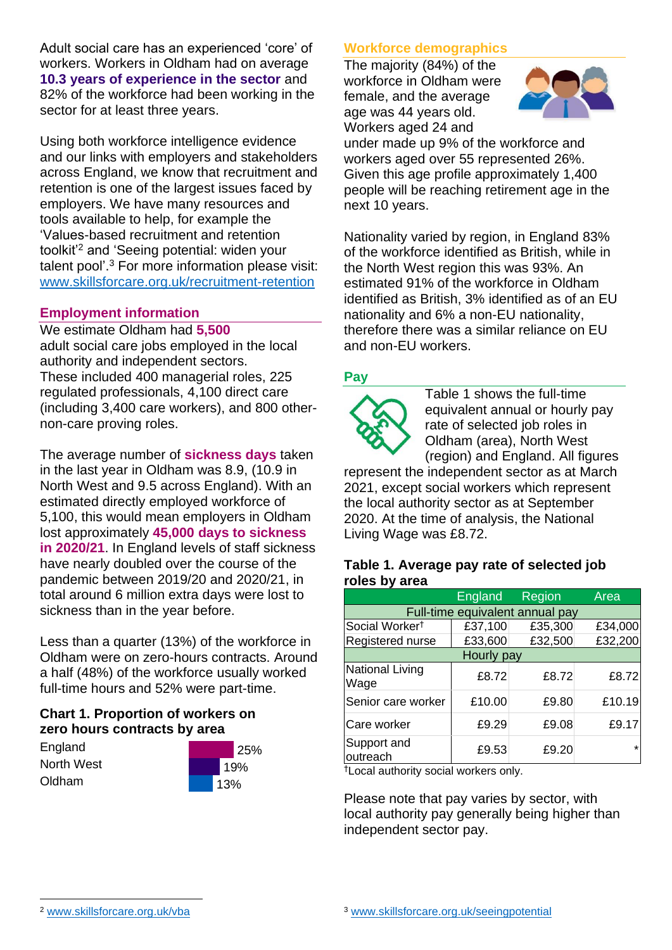Adult social care has an experienced 'core' of workers. Workers in Oldham had on average **10.3 years of experience in the sector** and 82% of the workforce had been working in the sector for at least three years.

Using both workforce intelligence evidence and our links with employers and stakeholders across England, we know that recruitment and retention is one of the largest issues faced by employers. We have many resources and tools available to help, for example the 'Values-based recruitment and retention toolkit'<sup>2</sup> and 'Seeing potential: widen your talent pool'. <sup>3</sup> For more information please visit: [www.skillsforcare.org.uk/recruitment-retention](http://www.skillsforcare.org.uk/recruitment-retention)

### **Employment information**

We estimate Oldham had **5,500** adult social care jobs employed in the local authority and independent sectors. These included 400 managerial roles, 225 regulated professionals, 4,100 direct care (including 3,400 care workers), and 800 othernon-care proving roles.

The average number of **sickness days** taken in the last year in Oldham was 8.9, (10.9 in North West and 9.5 across England). With an estimated directly employed workforce of 5,100, this would mean employers in Oldham lost approximately **45,000 days to sickness in 2020/21**. In England levels of staff sickness have nearly doubled over the course of the pandemic between 2019/20 and 2020/21, in total around 6 million extra days were lost to sickness than in the year before.

Less than a quarter (13%) of the workforce in Oldham were on zero-hours contracts. Around a half (48%) of the workforce usually worked full-time hours and 52% were part-time.

# **Chart 1. Proportion of workers on zero hours contracts by area**

**England** North West Oldham



# **Workforce demographics**

The majority (84%) of the workforce in Oldham were female, and the average age was 44 years old. Workers aged 24 and



under made up 9% of the workforce and workers aged over 55 represented 26%. Given this age profile approximately 1,400 people will be reaching retirement age in the next 10 years.

Nationality varied by region, in England 83% of the workforce identified as British, while in the North West region this was 93%. An estimated 91% of the workforce in Oldham identified as British, 3% identified as of an EU nationality and 6% a non-EU nationality, therefore there was a similar reliance on EU and non-EU workers.

# **Pay**



Table 1 shows the full-time equivalent annual or hourly pay rate of selected job roles in Oldham (area), North West (region) and England. All figures

represent the independent sector as at March 2021, except social workers which represent the local authority sector as at September 2020. At the time of analysis, the National Living Wage was £8.72.

#### **Table 1. Average pay rate of selected job roles by area**

|                                 | <b>England</b> | <b>Region</b> | Area    |
|---------------------------------|----------------|---------------|---------|
| Full-time equivalent annual pay |                |               |         |
| Social Worker <sup>t</sup>      | £37,100        | £35,300       | £34,000 |
| Registered nurse                | £33,600        | £32,500       | £32,200 |
| Hourly pay                      |                |               |         |
| National Living<br>Wage         | £8.72          | £8.72         | £8.72   |
| Senior care worker              | £10.00         | £9.80         | £10.19  |
| Care worker                     | £9.29          | £9.08         | £9.17   |
| Support and<br>outreach         | £9.53          | £9.20         | $\star$ |

†Local authority social workers only.

Please note that pay varies by sector, with local authority pay generally being higher than independent sector pay.